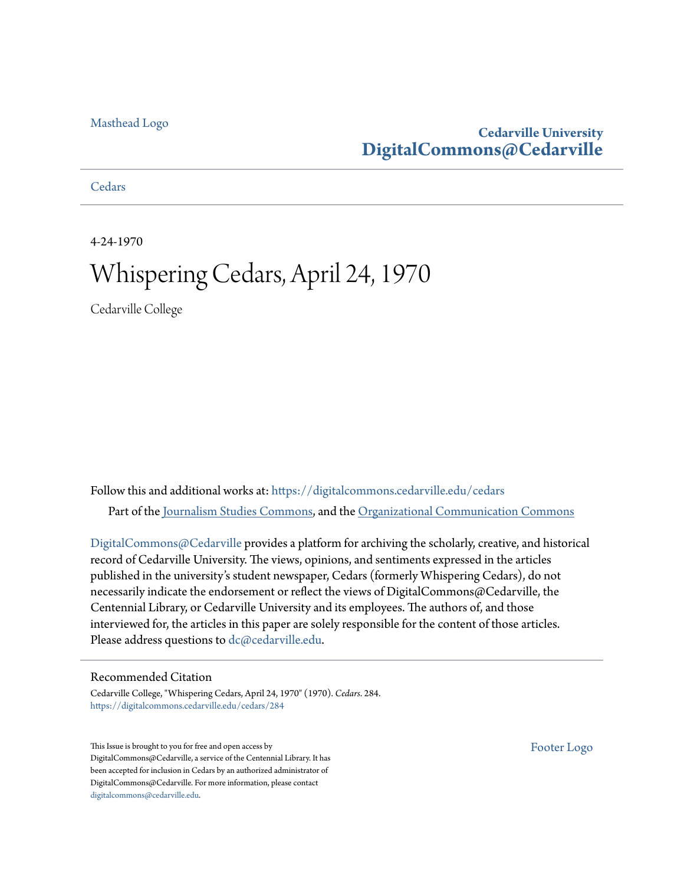### [Masthead Logo](http://www.cedarville.edu/?utm_source=digitalcommons.cedarville.edu%2Fcedars%2F284&utm_medium=PDF&utm_campaign=PDFCoverPages)

### **Cedarville University [DigitalCommons@Cedarville](https://digitalcommons.cedarville.edu?utm_source=digitalcommons.cedarville.edu%2Fcedars%2F284&utm_medium=PDF&utm_campaign=PDFCoverPages)**

**[Cedars](https://digitalcommons.cedarville.edu/cedars?utm_source=digitalcommons.cedarville.edu%2Fcedars%2F284&utm_medium=PDF&utm_campaign=PDFCoverPages)** 

4-24-1970

## Whispering Cedars, April 24, 1970

Cedarville College

Follow this and additional works at: [https://digitalcommons.cedarville.edu/cedars](https://digitalcommons.cedarville.edu/cedars?utm_source=digitalcommons.cedarville.edu%2Fcedars%2F284&utm_medium=PDF&utm_campaign=PDFCoverPages) Part of the [Journalism Studies Commons](http://network.bepress.com/hgg/discipline/333?utm_source=digitalcommons.cedarville.edu%2Fcedars%2F284&utm_medium=PDF&utm_campaign=PDFCoverPages), and the [Organizational Communication Commons](http://network.bepress.com/hgg/discipline/335?utm_source=digitalcommons.cedarville.edu%2Fcedars%2F284&utm_medium=PDF&utm_campaign=PDFCoverPages)

[DigitalCommons@Cedarville](http://digitalcommons.cedarville.edu/) provides a platform for archiving the scholarly, creative, and historical record of Cedarville University. The views, opinions, and sentiments expressed in the articles published in the university's student newspaper, Cedars (formerly Whispering Cedars), do not necessarily indicate the endorsement or reflect the views of DigitalCommons@Cedarville, the Centennial Library, or Cedarville University and its employees. The authors of, and those interviewed for, the articles in this paper are solely responsible for the content of those articles. Please address questions to [dc@cedarville.edu.](mailto:dc@cedarville.edu)

### Recommended Citation

Cedarville College, "Whispering Cedars, April 24, 1970" (1970). *Cedars*. 284. [https://digitalcommons.cedarville.edu/cedars/284](https://digitalcommons.cedarville.edu/cedars/284?utm_source=digitalcommons.cedarville.edu%2Fcedars%2F284&utm_medium=PDF&utm_campaign=PDFCoverPages)

This Issue is brought to you for free and open access by DigitalCommons@Cedarville, a service of the Centennial Library. It has been accepted for inclusion in Cedars by an authorized administrator of DigitalCommons@Cedarville. For more information, please contact [digitalcommons@cedarville.edu](mailto:digitalcommons@cedarville.edu).

[Footer Logo](http://www.cedarville.edu/Academics/Library.aspx?utm_source=digitalcommons.cedarville.edu%2Fcedars%2F284&utm_medium=PDF&utm_campaign=PDFCoverPages)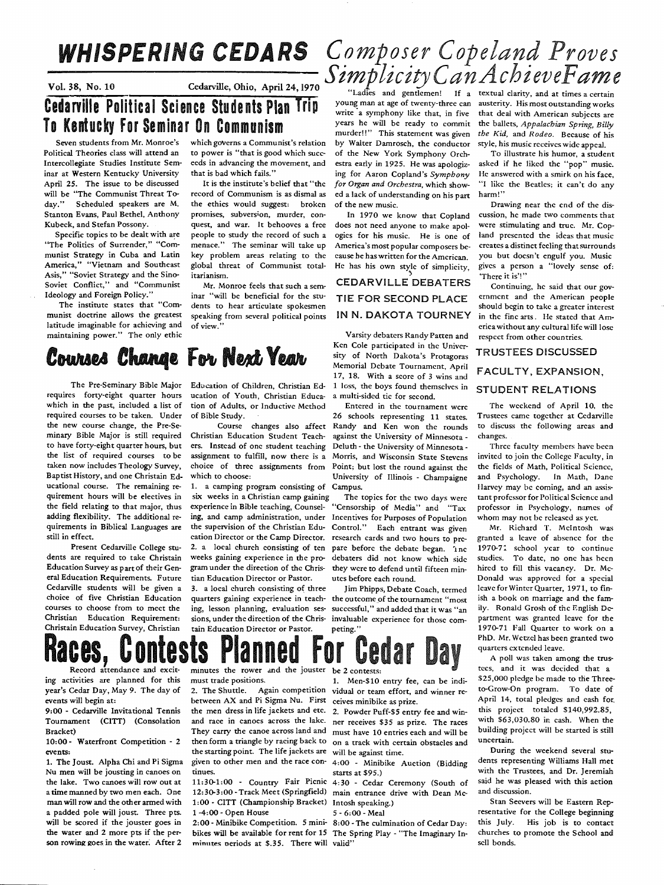## Cedarville, Ohio, April 24, 1970

Countries only, April 24, 1970<br>Countries and gentlemen! If a textual clarity, and at times a certain<br>Cedarville Political Science Students Plan Trip young man at age of twenty-three can austerity. His most outstanding work To Kentucky For Seminar On Communism States and the ready to commit the ballets, Appalachian Spring, Billy

Seven students from Mr. Monroe's Political Theories class will attend an Intercollegiate Studies Institute Seminar at Western Kentucky University April 25. The issue to be discussed will be "The Communist Threat Today." Scheduled speakers are M. Stanton Evans, Paul Bethel, Anthony Kubeck, and Stefan Possony.

Specific topics to be dealt with are "The Politics of Surrender," "Communist Strategy in Cuba and Latin America," "Vietnam and Southeast Asis," "Soviet Strategy and the Sino-Soviet Conflict," and "Communist Ideology and Foreign Policy."

The institute states that "Communist doctrine allows the greatest latitude imaginable for achieving and maintaining power." The only ethic

which governs a Communist's relation to power is "that is good which succeeds in advancing the movement, and that is bad which fails."

record of Communism is as dismal as the ethics would suggest: broken promises, subversion, murder, conquest, and war. It behooves a free people to study the record of such a menace." The seminar will take up key problem areas relating to the global threat of Communist total**itarianism.** ''' *There* **itarianism.**  $\mathbf{r} = \mathbf{r} \cdot \mathbf{r} \cdot \mathbf{r} \cdot \mathbf{r} \cdot \mathbf{r} \cdot \mathbf{r} \cdot \mathbf{r} \cdot \mathbf{r} \cdot \mathbf{r} \cdot \mathbf{r} \cdot \mathbf{r} \cdot \mathbf{r} \cdot \mathbf{r} \cdot \mathbf{r} \cdot \mathbf{r} \cdot \mathbf{r} \cdot \mathbf{r} \cdot \mathbf{r} \cdot \mathbf{r} \cdot \mathbf{r} \cdot \mathbf{r} \cdot \mathbf{$ 

Mr. Monroe feels that such a seminar "will be beneficial for the students to hear articulate spokesmen speaking from several political points **of view.''** 

## Courses Change For Next Year

The Pre-Seminary Bible Major requires forty-eight quarter hours which in the past, included a list of required courses to be taken. Under the new course change, the Pre-Se· minary Bible Major is still required to have forty-eight quarter hours, but the list of required courses to be taken now includes Theology Survey, Baptist History, and one Christain Educational course. The remaining re· quirement hours will be electives in the field relating to that major, thus adding flexibility. The additional re· quirements in Biblical Languages are still in effect.

 Present Cedarville College students are required to take Christain Education Survey as part of their General Education Requirements. Future Cedarville students will be given a choice of five Christian Education courses to choose from to meet the Christian Education Requirement:

1. The Joust. Alpha Chi and Pi Sigma Nu men will be jousting in canoes on the lake. Two canoes will row out at <sup>a</sup>time manned by two men each. One man will row and the other armed with <sup>a</sup>padded pole will joust. Three pts. will be scored if the jouster goes in the water and 2 more pts if the person rowing goes in the water. After 2

events will begin at:

Bracket)

events:

Education of Children, Christian Ed- 1 loss, the boys found themselves in ucation of Youth, Christian Educa- a multi-sided tic for second. ucation of Youth, Christian Education of Adults, or Inductive Method Entered in the tournament were

Christian Education Student Teach-

1. a camping program consisting of Campus. six weeks in a Christian camp gaining The topics for the two days were experience in Bible teaching, Counsel- "Censorship of Media" and "Tax ing, and camp administration, under Incentives for Purposes of Population<br>the supervision of the Christian Edu- Control." Each entrant was given cation Director or the Camp Director. research cards and two hours to pre-<br>2. a local church consisting of ten pare before the debate began. Inc weeks gaining experience in the pro· debaters did not know which side gram under the direction of the Chris- they were to defend until fifteen min· tian Education Director or Pastor.

3. a local church consisting of three ing, lesson planning, evaluation ses· sions, under the direction of the Chris· invaluable experience for those com-

## WHISPERING CEDARS *Comp\_oser Copeland Proves*   $V$ ol. 38, No. 10 Cedarville, Ohio, April 24, 1970 **Simplicity** Can Achiever **Ame**

by Walter Damrosch, the conductor style, his music receives wide appeal.<br>of the New York Symphony Orch- To illustrate his humor, a student of the New York Symphony Orch-<br>estra early in 1925. He was apologizestra early in 1925. He was apologiz- asked if he liked the "pop" music.<br>ing for Aaron Copland's Symphony lie answered with a smirk on his face, ing for Aaron Copland's *Symphony* He answered with a smirk on his face, for Organ and Orchestra, which show- "I like the Beatles; it can't do any It is the institute's belief that "the *for Organ and Orchestra*, which show- "I like the Beatles; it can't do any ord of Communism is as dismal as ed a lack of understanding on his part harm!" ed a lack of understanding on his part of the new music. Drawing near the end of the dis-

America's most popular composers be-

### CEDARVILLE DEBATERS  $\frac{1}{\text{Continuing, he said that our go}}$ TIE FOR SECOND PLACE IN N. DAKOTA TOURNEY

Varsity debaters Randy Patten and Ken Cole participated in the University of North Dakota's Protagoras Memorial Debate Tournament, April 17, 18. With a score of 3 wins and

of Bible Study. 26 schools representing 11 states. Course changes also affect Randy and Ken won the rounds against the University of Minnesota ers. Instead of one student teaching Deluth- the University of Minnesota assignment to fulfill, now there is a Morris, and Wisconsin State Stevens choice of three assignments from Point; but lost the round against the which to choose:<br>University of Illinois - Champaigne University of Illinois - Champaigne

> Control." Each entrant was given pare before the debate began. Inc utes before each round.

quarters gaining experience in teach- the outcome of the tournament "most Jim Phipps, Debate Coach, termed successful," and added that it was "an

In 1970 we know that Copland cussion, he made two comments that does not need anyone to make apol- were stimulating and true. Mr. Cop ogies for his music. He is one of land presented the ideas that music<br>America's most popular composers be- creates a distinct feeling that surrounds cause he has written for the American. you but docsn't engulf you. Music He has his own style of simplicity, gives a person a "lovely sense of:

> ernment and the American people should begin to take a greater interest in the fine arts. He stated that America without any cultural life will Jose respect from other countries.

#### TRUSTEES DISCUSSED

## FACULTY, EXPANSION, STUOENT RELATIONS

The weekend of April 10, the Trustees came together at Cedarville to discuss the following areas and changes.

Three faculty members have been invited to join the College Faculty, in the fields of Math, Political Science, and Psychology. In Math, Dane Harvey may be coming, and an assis tant professor for Political Science and professor in Psychology, names of whom may not be released as yet.

Mr. Richard T. Mcintosh was granted a leave of absence for the 1970-7: school year to continue studies. To date, no one has been hired to fill this vacancy. Dr. Mc-Donald was approved for a special leave for Winter Quarter, 1971, to finish a book on marriage and the fam· ily. Ronald Grosh of the English Department was granted leave for the 1970-71 Fall Quarter to work on <sup>a</sup> PhD. Mr. Wetzel has been granted two quarters extended leave.

A poll was taken among the trus· tees, and it was decided that <sup>a</sup> \$25,000 pledge be made to the Threeto-Grow-On program. To date of April 14, total pledges and cash for. this project totaled \$140,992.85, with \$63,030.80 in cash. When the building project will be started is still uncertain.

During the weekend several students representing Williams Hall met with the Trustees, and Dr. Jeremiah said he was pleased with this action and discussion.

Stan Seevers will be Eastern Representative for the College beginning this July. His job is to contact churches to promote the School and sell bonds.

# Christain Education Survey, Christian tain Education Director or Pastor. peting."<br>Ranco attendance and excite minimizes the power and the jouster be 2 contests:<br>its existities are planned for this must melongities contests ing activities are planned for this

year's Cedar Day, May 9. The day of 9:00 - Cedarville Invitational Tennis Tournament (CITT) (Consolation 10:00- Waterfront Competition - 2 must trade positions. between AX and Pi Sigma Nu. First ceives minibike as prize.

the starting point. The life jackets are will be against time. given to other men and the race con-4:00 - Minibike Auction (Bidding tinues.

12:30-3:00 ·Track Meet (Springfield) main entrance drive with Dean Mc-1:00 - CITT (Championship Bracket) 1 -4:00- Open House

minutes neriods at \$.35. There will valid"

2. The Shuttle. Again competition vidual or team effort, and winner re· 1. Men-\$10 entry fee, can be indi-

the men dress in life jackets and etc. 2. Powder Puff-\$5 entry fee and winand race in canoes across the lake. ner receives \$35 as prize. The races They carry the canoe across land and must have 10 entries each and will be then form a triangle by racing back to on a track with certain obstacles and

starts at \$95.)

11:30-1:00 - Country Fair Picnic 4: 30 - Cedar Ceremony (South of Intosh speaking.)

*5* - 6:00 - Meal

2:00 - Minibike Competition. 5 mini-8:00 · The culmination of Cedar Day: bikes will be available for rent for 15 The Spring Play • "The Imaginary In-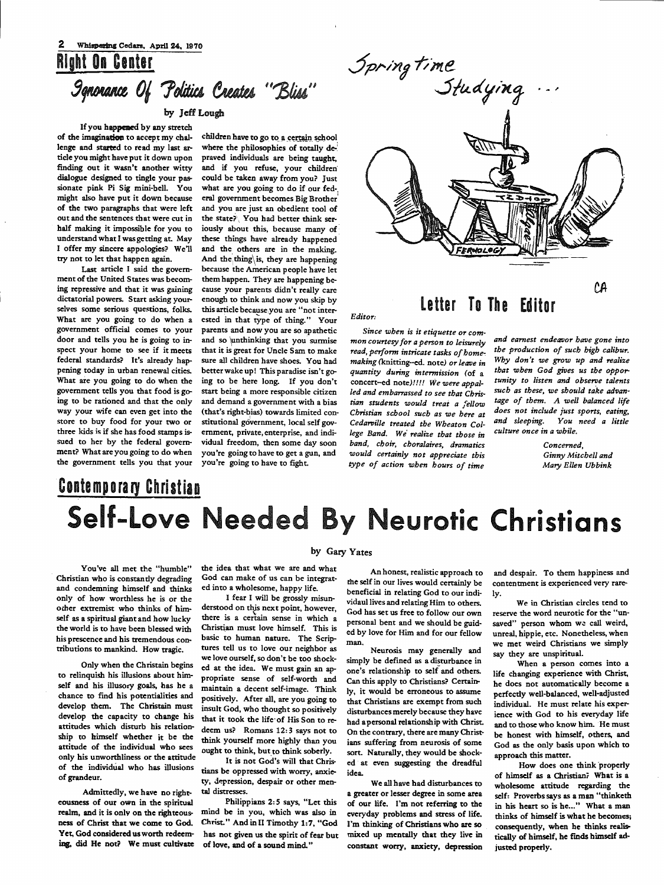## Right On Center  $9$ qnonance Of Politics Creates "Bliss"

### by Jeff Lough

If you happened by any stretch of the imagination to accept my chal· lengc and started *to* read my last article you might have put it down upon finding out it wasn't another witty dialogue designed to tingle your passionate pink Pi Sig mini-bell. You might also have put it down because of the two paragraphs that were left out and the sentences that were cut in half making it impossible for you to understand what I was getting at. May <sup>I</sup>offer my sincere appologies? We'll try not to let that happen again.

Last article I said the govern· ment of the United States was becom· ing repressive and that it was gaining dictatorial powers. Start asking yourselves some serious questions, folks. What are you going to do when a government official comes to your door and tells you he is going to inspect your home to see if it meets federal standards? It's already happening today in urban renewal cities. What are you going to do when the government tells you that food is going to be rationed and that the only way your wife can even get into the store to buy food for your two or three kids is if she has food stamps issued to her by the federal govern· ment? What are you going to do when the government tells you that your

children have to go to a certain school where the philosophies of totally depraved individuals are being taught, and if you refuse, your children could be taken away from you? Just what are you going to do if our fed-. eral government becomes Big Brother' and you are just an obedient tool of the state? You had better think seriously about this, because many of these things have already happened and the others are in the making. And the thing is, they are happening because the American people have let them happen. They are happening because your parents didn't really care enough to think and now you skip by this article because you are "not interested in that type of thing." Your parents and now you are so apathetic and so \unthinking that you surmise that it is great for Uncle Sam to make sure all children have shoes. You had better wake up! This paradise isn't going to be here long. If you don't start being a more responsible citizen and demand a government with a bias (that's right-bias) towards limited constitutional government, local self government, private, enterprise, and individual freedom, then some day soon you 're going to have to get a gun, and you're going to have to fight.



### Letter To The Editor

*Since when is it etiquette or com· mon courtesy for a person to leisurely read, perform intricate tasks of home, making* (knitting--ed. note) *or leave in quantity during intermission* (of <sup>a</sup> concert-ed *note)!!!! We were appalled and embarrassed to see that Christian students would treat a fellow Christian school such as we here at Cedari,ille treated the Wheaton College Band. We' realize that those in band, choir, choralaires, dramatics would certainly not appreciate this* 

*type of action when hours of time* 

*and earnest endeavor have gone into the production of such high calibur. Why don't we grow up and realize that when God gives us the opportunity to listen and observe talents such as these, we should take advan· tage of them. A well balanced life does not include just sports, eating, and sleeping. You need a little culture once in a while.* 

> *Concerned, Ginny Mitchell and Mary Ellen Ubbink*

## **Contemporary Christian** Self-Love Needed By Neurotic Christians

*Editor:* 

You've all met the "humble" Christian who is constantly degrading and condemning himself and thinks only of how worthless he is or the odier extremist who thinks of him· self as a spiritual giant and how lucky the world is to have been blessed with his prescence and his tremendous con· tributions to mankind. How tragic.

Only when the Christain begins to relinquish his illusions about himself and his illusory goals, has he a chance to find his potentialities and develop them. The Christain must develop the capacity to change his attitudes which disturb his relation· ship to himself whether it be the attitude of the individual who sees only his unworthliness or the attitude of the individual who has illusions of grandeur.

Admittedly, we have no righteousness of our own in the spiritual realm, and it is onlv on the righteousness of Christ that we come to God. Yet, God considered us worth redeeming, did He not? We must cultivate

#### by Gary Yates

the idea that what we are and what God can make of us can be integrated into a wholesome, happy life.

I fear I will be grossly misunderstood on this next point, however, there is a certain sense in which a Christian must love himself. This is basic to human nature. The Scriptures tell us to love our neighbor as we love ourself, so don't be too shocked at the idea. We must gain an appropriate sense of self-worth and maintain a decent self-image. Think positively. After all, are you going to insult God, who thought so positively that it took the life·of His Son to redeem us? Romans 12: 3 says not to think yourself more highly than you ought to think, but to think soberly.

It is not God's will that Christians be oppressed with worry, anxiety, depression, despair or other mental distresses.

Philippians 2: *S* says, "Let this mind be in you, which was also in Christ." AndinU Timothy 1:7, "God has not given us the spirit of fear but of love, and of a sound mind.'

An honest, realistic approach to the self in our lives would certainly be beneficial in relating God to our individaul lives and relating Him to others. God has set us free to follow our own personal bent and we should be guided by love for Him and for our fellow man.

Neurosis may generally and simply be defined as a disturbance in one's relationship to self and others. Can this apply to Christians? Certainly, it would be erroneous to assume that Christians are exempt from such disturbances merely because they have had a personal relationship with Christ. On the contrary, there are many Christians suffering from neurosis of some sort. Naturally, they would be shocked at even suggesting the dreadful idea.

We all have had disturbances to a greater or lesser degree in some area of our life. I'm not referring to the everyday problems and stress of life. I'm thinking of Christians who are so mixed up mentally that they live in constant worry, anxiety, depression

and despair. To them happiness and contentment is experienced very rarely.

We in Christian circles tend to reserve the word neurotic for the "unsaved" person whom we call weird, unreal, hippie, etc. Nonetheless, when we met weird Christians we simply say they are unspiritual.

When a person comes into a life changing experience with Christ, he does not automatically become a perfectly well-balanced, well-adjusted individual. He must relate his experience with God to his everyday life and to those who know him. He must be honest with himself, others, and God as the only basis upon which *to*  approach this matter.

How does one think properly of himself as a Christian? What is a wholesome attitude regarding the self: Proverbs says as a man "thinketh in his heart so is he..." What a man thinks of himself is what he becomes; consequently, when he thinks realistically of himself, he finds himself adjusted properly.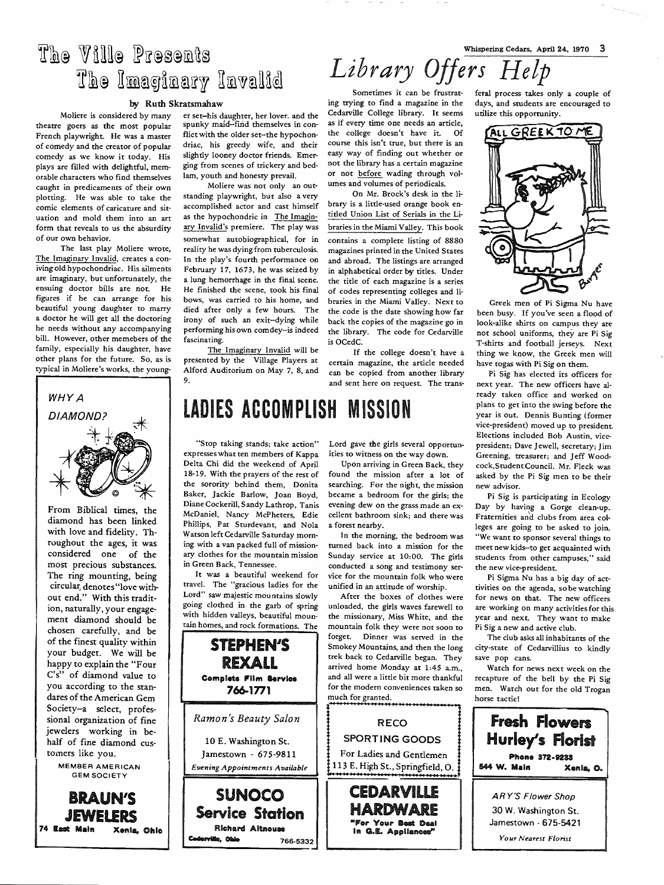## The Ville Presents The Imaginary Invalid

#### by Ruth Skratsmahaw

theatre goers as the most popular spunky maid--find themselves in con-<br>French playwright. He was a master flict with the older set--the hypochon-French playwright. He was a master flict with the older set-the hypochon-<br>of comedy and the creator of popular driac, his greedy wife, and their of comedy and the creator of popular driac, his greedy wife, and their comedy as we know it today. His slightly looney doctor friends. Emercomedy as we know it today. His slightly looney doctor friends. Emer-<br>plays are filled with delightful. mem- ging from scenes of trickery and bedplays are filled with delightful, mem-<br>orable characters who find themselves lam, youth and honesty prevail. orable characters who find themselves caught in predicaments of their own plotting. He was able to take the comic elements of caricature and situation and mold them into an art form that reveals to us the absurdity of our own behavior.

The last play Moliere wrote, The Imaginary Invalid, creates a coniving old hypochondriac. His ailments are imaginary, but unfortunately, the ensuing doctor bills are not. He figures if he can arrange for his beautiful young daughter to marry a doctor he will get all the doctoring he needs without any accompanying bill. However, other memebers of the family, especially his daughter, have other plans for the future. So, as is typical in Moliere's works, the young-



From Biblical times, the diamond has been linked with love and fidelity. Throughout the ages, it was considered one of the most precious substances. The ring mounting, being circular, denotes"love without end." With this tradition, naturally, your engagement diamond should be chosen carefully, and be of the finest quality within your budget. We will be happy to explain the "Four C's" of diamond value to you according to the standares of the American Gem Society-a select, professional organization of fine jewelers working in behalf of fine diamond customers like you.

MEMBER AMERICAN GEM SOCIETY

BRAUN'S

JEWELERS 74 East Main Xenia, Ohlo

Moliere is considered by many er set-his daughter, her lover. and the<br>e goers as the most popular spunky maid-find themselves in con-

Moliere was not only an outstanding playwright, but also a very accomplished actor and cast himself as the hypochondric in The Imaginary Invalid's premiere. The play was somewhat autobiographical, for in reality he was dying from tuberculosis. In the play's fourth performance on February 17, 1673, he was seized by a lung hemorrhage in the final scene. He finished the scene, took his final bows, was carried to his home, and died after only a few hours. The irony of such an exit--dying while performing his own comdey--is indeed fascinating.

The Imaginary Invalid will be presented by the Village Players at Alford Auditorium on May 7, 8, and 9.

DIAMOND? | | LADIES ACCOMPLISH MISSION

"Stop taking stands; take action" expresses what ten members of Kappa Delta Chi did the weekend of April 18-19. With the prayers of the rest of the sorority behind them, Donita Baker, Jackie Barlow, Joan Boyd, Diane Cockerill, Sandy Lathrop, Tanis McDaniel, Nancy McPheters, Edie Phillips, Pat Sturdevant, and Nola Watson left Cedarville Saturday morning with a van packed full of missionary clothes for the mountain mission in Green Back, Tennessee.

It was a beautiful weekend for travel. The "gracious ladies for the Lord" saw majestic mountains slowly going clothed in the garb of spring with hidden valleys, beautiful mountain homes, and rock formations. The



Whispering Cedars, April 24, 1970 3 *Library Offers Help* 

Sometimes it can be frustrating trying to find a magazine in the Cedarville College library. It seems as if every time one needs an article, the college doesn't have it. Of course this isn't true, but there is an easy way of finding out whether or not the library has a certain magazine or not before wading through volumes and volumes of periodicals.

On Mr. Brock's desk in the library is a little-used orange book entitled Union List of Serials in the Libraries in the Miami Valley. This book contains <sup>a</sup>complete listing of 8880 magazines printed in the United States and abroad. The listings are arranged in alphabetical order by titles. Under the title of each magazine is a series of codes representing colleges and libraries in the Miami Valley. Next to the code is the date showing how far back the copies of the magazine go in the library. The code for Cedarville is OCedC.

If the college doesn't have a certain magazine, the article needed can be copied from another library and sent here on request. The trans-

### Lord gave the girls several opportun-

ities to witness on the way down.

Upon arriving in Green Back, they found the mission after a lot of searching. For the night, the mission became a bedroom for the girls; the evening dew on the grass made an excellent bathroom sink; and there was a forest nearby.

In the morning, the bedroom was turned back into a mission for the Sunday service at 10:00. The girls conducted a song and testimony service for the mountain folk who were unified in an attitude of worship.

After the boxes of clothes were unloaded, the girls waves farewell to the missionary, Miss White, and the mountain folk they were not soon to forget. Dinner was served in the Smokey Mountains, and then the long trek back to Cedarville began. They arrived home Monday at 1:45 a.m., and all were a little bit more thankful for the modern conveniences taken so much for granted.



in G.E. Appliances'

feral process takes only a couple of days, and students are encouraged to utilize this opportunity.



Greek men of Pi Sigma Nu have been busy. If you've seen a flood of look-alike shirts on campus they are<br>not school uniforms, they are Pi Sig T-shirts and football jerseys. Next thing we know, the Greek men will have togas with Pi Sig on them.

Pi Sig has elected its officers for next year. The new officers have already taken office and worked on plans to get into the swing before the year is out. Dennis Bunting (former vice-president) moved up to president. Elections included Bob Austin, vicepresident; Dave Jewell, secretary; Jim Greening, treasurer; and Jeff Woodcock,StudentCouncil. Mr. Fleck was asked by the Pi Sig men to be their new advisor.

Pi Sig is participating in Ecology Day by having a Gorge clean-up. Fraternities and clubs from area colleges are going to be asked to join. "We want to sponsor several things to meet new kids--to get acquainted with students from other campuses," said the new vice-president.

Pi Sigma Nu has a big day of acttivities on the agenda, so be watching for news on that. The new officers are working on many activities for this year and next. They want to make Pi Sig a new and active club.

The club asks all inhabitants of the city-state of Cedarvillius to kindly save pop cans.

Watch for news next week on the recapture of the bell by the Pi Sig men. Watch out for the old Trogan horse tactic!

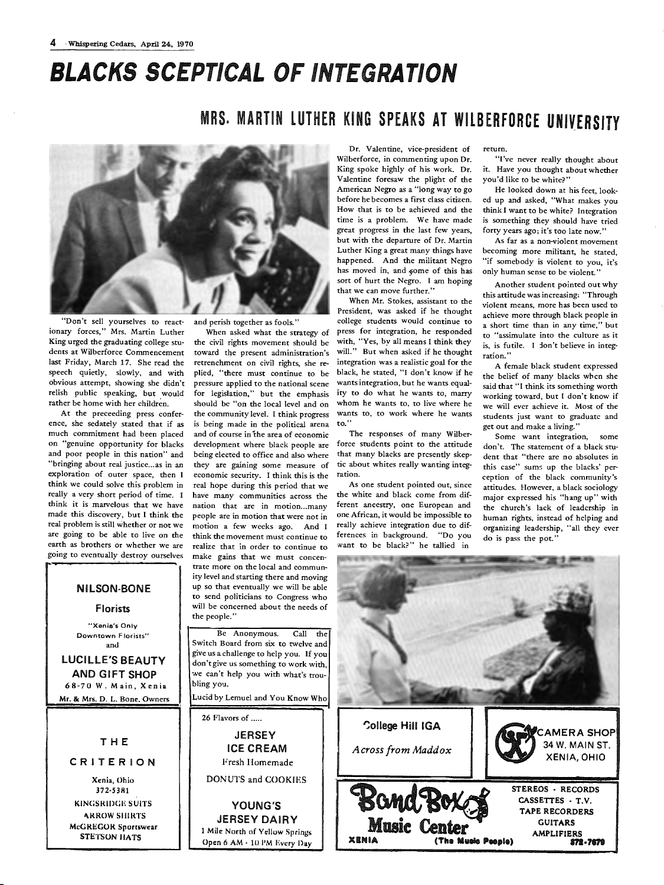# BLACKS SCEPTICAL OF INTEGRATION

### MRS. MARTIN LUTHER KING SPEAKS AT WILBERFORCE UNIVERSITY



"Don't sell yourselves to reactionary forces," Mrs. Martin Luther King urged the graduating college students at Wilberforce Commencement last Friday, March 17. She read the speech quietly, slowly, and with obvious attempt, showing she didn't relish public speaking, but would rather be home with her children.

At the preceeding press conference, she sedately stated that if as much commitment had been placed on "genuine opportunity for blacks and poor people in this nation" and "bringing about real justice ... as in an exploration of outer space, then <sup>I</sup> think we could solve this problem in really a very short period of time. I think it is marvelous that we have made this discovery, but I think the real problem is still whether or not we are going to be able to live on the earth as brothers or whether we are going to eventually destroy ourselves

and perish together as fools."

When asked what the strategy of the civil rights movement should be toward the present administration's retrenchment on civil rights, she replied, "there must continue to be pressure applied to the national scene for legislation," but the emphasis should be "on the local level and on the community level. I think progress is being made in the political arena and of course in the area of economic development where black people are being elected to office and also where they are gaining some measure of economic security. I think this is the real hope during this period that we have many communities across the nation that are in motion...many people are in motion that were not in motion a few weeks ago. And <sup>I</sup> think the movement must continue to realize that in order to continue to make gains that we must concentrate more on the local and community level and starting there and moving up so that eventually we will be able to send politicians to Congress who will be concerned about the needs of the people."

Be Anonymous. Call the Switch Board from six to twelve and <sup>g</sup>ive us a challenge to help you. If you don't give us something to work with, we can't help you with what's troubling you.

Lucid by Lemuel and You Know Who

Dr. Valentine, vice-president of Wilberforce, in commenting upon Dr. King spoke highly of his work. Dr. Valentine foresaw the plight of the American Negro as a "long way to go before he becomes a first class citizen. How that is to be achieved and the time is a problem. We have made great progress in the last few years, but with the departure of Dr. Martin Luther King a great many things have happened. And the militant Negro has moved in, and some of this has sort of hurt the Negro. I am hoping that we can move further."

When Mr. Stokes, assistant to the President, was asked if he thought college students would continue to press for integration, he responded with, "Yes, by all means I think they will." But when asked if he thought integration was a realistic goal for the black, he stated, "I don't know if he wants integration, but he wants equality to do what he wants to, marry whom he wants to, to live where he wants to, to work where he wants to.''

The responses of many Wilberforce students point to the attitude that many blacks are presently skeptic about whites really wanting integration.

As one student pointed out, since the white and black come from different ancestry, one European and one African, it would be impossible to really achieve integration due to differences in background. "Do you want to be black?" he tallied in

#### return.

"I've never really thought about it. Have you thought about whether you'd like to be white?"

He looked down at his feet, looked up and asked, "What makes you think I want to be white? Integration is something they should have tried forty years ago; it's too late now."

As far as a non-violent movement becoming more militant, he stated, "if somebody is violent to you, it's only human sense to be violent."

Another student pointed out why this attitude was increasing: "Through violent means, more has been used to achieve more through black people in <sup>a</sup>short time than in any time," but to "assimulate into the culture as it is, is futile. I don't believe in integ**ration."** 

A female black student expressed the belief of many blacks when she said that "I think its something worth working toward, but I don't know if we will ever achieve it. Most of the students just want to graduate and get out and make a living."

Some want integration, some don't. The statement of a black student that "there are no absolutes in this case" sums up the blacks' perception of the black community's attitudes. However, a black sociology major expressed his "hang up" with the church's lack of leadership in human rights, instead of helping and organizing leadership, "all they ever do is pass the pot.'



NILSON-BONE

### Florists

**uxenis's Only Downtown Florists"**  and

LUCILLE'S BEAUTY AND GIFT SHOP 68-70 W. Main, Xenia Mr. & Mrs. D. L. Bone. Owners

THE

#### CRITERION

Xenia, Ohio 372-53111 KINGSRIDGE SUITS-**ARROW SHIRTS** McGREGOR Sportswear STETSON I IA TS

26 Flavors of ..... **JERSEY** ICE CREAM Fresh Homemade DONUTS and COOKIES YOUNG'S JERSEY DAIRY l Mile North of Yellow Springs Open 6 AM · 10 PM Every Day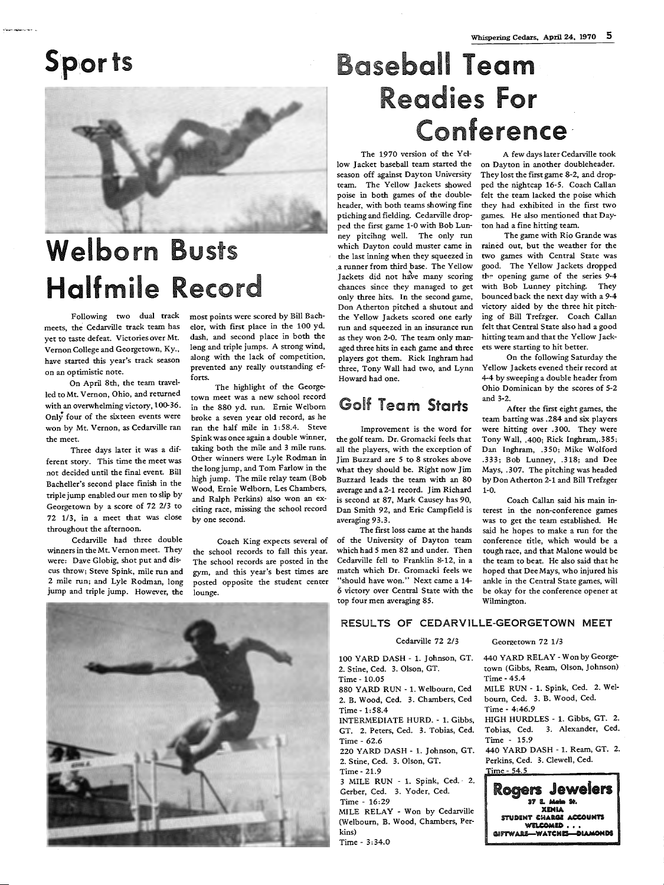

# Welborn Busts Halfmile Record

Following two dual track meets, the Cedarville track team has yet to taste defeat. Victories over Mt. Vernon College and Georgetown, Ky., have started this year's track season on an optimistic note.

On April 8th, the team travelled to Mt. Vernon, Ohio, and returned with an overwhelming victory, 100-36. Only four of the sixteen events were won by Mt. Vernon, as Cedarville ran the meet.

Three days later it was a different story. This time the meet was not decided until the final event. Bill Bacheller's second place finish in the triple jump enabled our men to slip by Georgetown by a score of 72 2/3 to 72 1/3, in a meet that was close throughout the afternoon.

Cedarville had three double winners in the Mt. Vernon meet. They were: Dave Globig, shot put and discus throw; Steve Spink, mile run and 2 mile run; and Lyle Rodman, long jump and triple jump. However, the

most points were scored by Bill Bachelor, with first place in the 100 yd. dash, and second place in both the Ieng and triple jumps. A strong wind, along with the lack of competition, prevented any really outstanding efforts.

The highlight of the Georgetown meet was a new school record in the 880 yd. run. Ernie Welborn broke a seven year old record, as he ran the half mile in 1: 58.4. Steve Spink was once again a double winner, taking both the mile and 3 mile runs. Other winners were Lyle Rodman in the long jump, and Tom Farlow in the high jump. The mile relay team (Bob Wood, Ernie Welborn, Les Chambers, and Ralph Perkins) also won an exciting race, missing the school record by one second.

Coach King expects several of the school records to fall this year. The school records are posted in the gym, and this year's best times are posted opposite the student center lounge.

### Whispering Cedars, April 24, 1970 5

# aseball Team Readies For **Conference**

The 1970 version of the Yellow Jacket baseball team started the season off against Dayton University team. The Yellow Jackets showed poise in both games of the doubleheader, with both teams showing fine ptiching and fielding. Cedarville dropped the first game 1-0 with Bob Lun· ney pitcihng well. The only run which Dayton could muster came in the last inning when they squeezed in ,a runner from third base. The Yellow Jackets did not have many scoring chances since they managed to ge<sup>t</sup> only three hits. In the second game, Don Atherton pitched a shutout and the Yellow Jackets scored one early run and squeezed in an insurance run as they won 2-0. The team only man· aged three hits in each game and three players got them. Rick Inghram had three, Tony Wall had two, and Lynn Howard had one.

### Golf Team Starts

Improvement is the word for the golf team. Dr. Gromacki feels that all the players, with the exception of Jim Buzzard are S to 8 strokes above what they should be. Right now Jim Buzzard leads the team with an 80 average and a 2-1 record. Jim Richard is second at 87, Mark Causey has 90, Dan Smith 92, and Eric Campfield is averaging 93.3.

The first loss came at the hands of the University of Dayton team which had *5* men 82 and under. Then Cedarville fell to Franklin 8-12, in <sup>a</sup> match which Dr. Gromacki feels we "should have won." Next came a 14-  $6$  victory over Central State with the top four men averaging 85.

A few days later Cedarville took on Dayton in another doubleheader. They lost the first game 8-2, and drop· ped the nightcap 16-5. Coach Callan felt the team lacked the poise which they had exhibited in the first two games. He also mentioned that Day· ton had a fine hitting team.

The game with Rio Grande was rained out, but the weather for the two games with Central State was good. The Yellow Jackets dropped *tbe-* opening game of the series 9-4 with Bob Lunney pitching. They bounced back the next day with a 9-4 victory aided by the three hit pitching of Bill Trefzger. Coach Callan felt that Central State also had a good hitting team and that the Yellow Jackets were starting to hit better.

On the following Saturday the Yellow Jackets evened their record at 4-4 by sweeping a double header from Ohio Dominican by the scores of 5-2 and 3-2.

After the first eight games, the team batting was .284 and six players were hitting over .300. They were Tony Wall, .400; Rick Inghram,.385; Dan Inghram, .350; Mike Wolford .333; Bob Lunney, .318; and Dee Mays, .307. The pitching was headed by Don Atherton 2-1 and Bill Trefzger 1-0.

Coach Callan said his main interest in the non-conference games was to get the team established. He said he hopes to make a run for the conference title, which would be <sup>a</sup> tough race, and that Malone would be the team to beat. He also said that he hoped that Dee Mays, who injured his ankle in the Central State games, will be okay for the conference opener at Wilmington.



### RESULTS OF CEDARVILLE-GEORGETOWN MEET

### Cedarville 72 2/3

100 YARD DASH· 1. Johnson, GT. 2. Stine, Ced. 3. Olson, GT. Time· 10.05

880 YARD RUN -1. Welbourn, Ced 2. B. Wood, Ced. 3. Chambers, Ced Time· 1:58.4 INTERMEDIATE HURD. - 1. Gibbs,

GT. 2. Peters, Ced. 3. Tobias, Ced. Time· 62.6 220 YARD DASH - 1. Johnson, GT.

2. Stine, Ced. 3. Olson, GT.

Time· 21.9 3 MILE RUN · 1. Spink, Ced.· 2. Gerber, Ced. 3. Yoder, Ced.

Time· 16:29

MILE RELAY • Won by Cedarville (Welbourn, B. Wood, Chambers, Perkins)

Time - 3:34.0

Georgetown 72 1/3

440 YARD RELAY ·Won by George· town (Gibbs, Ream, Olson, Johnson) Time-45.4 MILE RUN - 1. Spink, Ced. 2. Wei· bourn, Ced. 3. B. Wood, Ced. Time - 4:46.9 HIGH HURDLES· 1. Gibbs, GT. 2. Tobias, Ced. 3. Alexander, Ced. Time - 15.9 440 YARD DASH · 1. Ream, GT. 2. Perkins, Ced. 3. Clewell, Ced. Time - 54.5 Rogen Jewelen

lll7 I. Mat It. **XENIA** STUDENT CHARGE ACCOUNTS wel**comed . . .**<br>Giftware—watches—diamonds